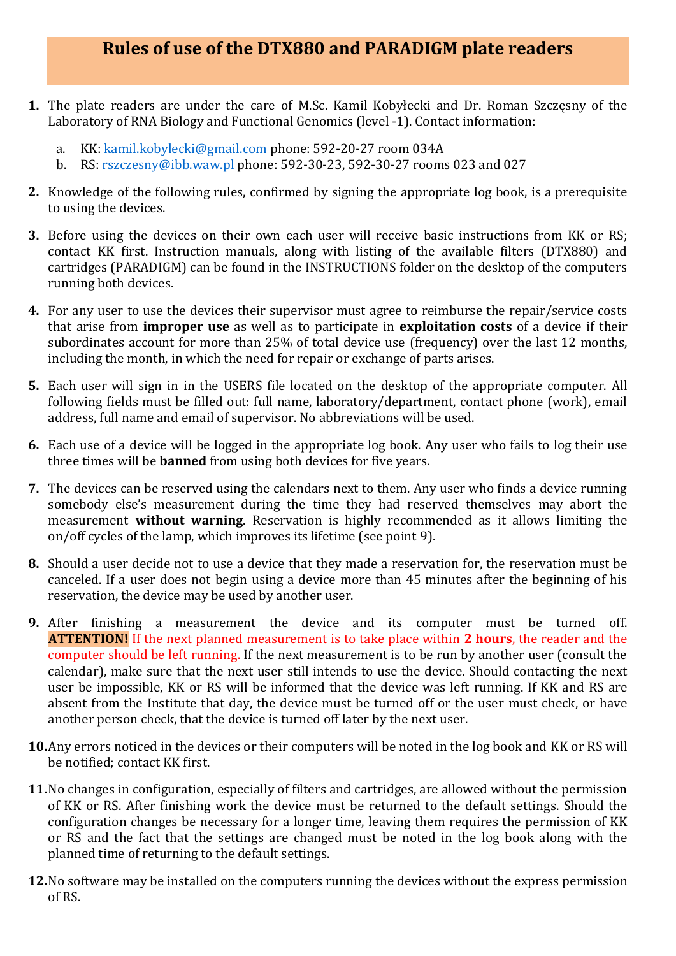## **Rules of use of the DTX880 and PARADIGM plate readers**

- **1.** The plate readers are under the care of M.Sc. Kamil Kobyłecki and Dr. Roman Szczęsny of the Laboratory of RNA Biology and Functional Genomics (level -1). Contact information:
	- a. KK: kamil.kobylecki@gmail.com phone: 592-20-27 room 034A
	- b. RS: rszczesny@ibb.waw.pl phone: 592-30-23, 592-30-27 rooms 023 and 027
- **2.** Knowledge of the following rules, confirmed by signing the appropriate log book, is a prerequisite to using the devices.
- **3.** Before using the devices on their own each user will receive basic instructions from KK or RS; contact KK first. Instruction manuals, along with listing of the available filters (DTX880) and cartridges (PARADIGM) can be found in the INSTRUCTIONS folder on the desktop of the computers running both devices.
- **4.** For any user to use the devices their supervisor must agree to reimburse the repair/service costs that arise from **improper use** as well as to participate in **exploitation costs** of a device if their subordinates account for more than 25% of total device use (frequency) over the last 12 months, including the month, in which the need for repair or exchange of parts arises.
- **5.** Each user will sign in in the USERS file located on the desktop of the appropriate computer. All following fields must be filled out: full name, laboratory/department, contact phone (work), email address, full name and email of supervisor. No abbreviations will be used.
- **6.** Each use of a device will be logged in the appropriate log book. Any user who fails to log their use three times will be **banned** from using both devices for five years.
- **7.** The devices can be reserved using the calendars next to them. Any user who finds a device running somebody else's measurement during the time they had reserved themselves may abort the measurement **without warning**. Reservation is highly recommended as it allows limiting the on/off cycles of the lamp, which improves its lifetime (see point 9).
- **8.** Should a user decide not to use a device that they made a reservation for, the reservation must be canceled. If a user does not begin using a device more than 45 minutes after the beginning of his reservation, the device may be used by another user.
- **9.** After finishing a measurement the device and its computer must be turned off. **ATTENTION!** If the next planned measurement is to take place within **2 hours**, the reader and the computer should be left running. If the next measurement is to be run by another user (consult the calendar), make sure that the next user still intends to use the device. Should contacting the next user be impossible, KK or RS will be informed that the device was left running. If KK and RS are absent from the Institute that day, the device must be turned off or the user must check, or have another person check, that the device is turned off later by the next user.
- **10.**Any errors noticed in the devices or their computers will be noted in the log book and KK or RS will be notified; contact KK first.
- **11.**No changes in configuration, especially of filters and cartridges, are allowed without the permission of KK or RS. After finishing work the device must be returned to the default settings. Should the configuration changes be necessary for a longer time, leaving them requires the permission of KK or RS and the fact that the settings are changed must be noted in the log book along with the planned time of returning to the default settings.
- **12.**No software may be installed on the computers running the devices without the express permission of RS.